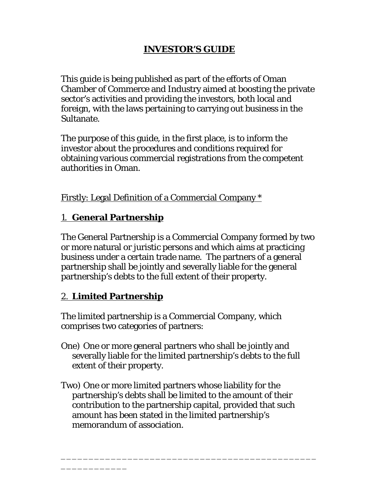# **INVESTOR'S GUIDE**

This guide is being published as part of the efforts of Oman Chamber of Commerce and Industry aimed at boosting the private sector's activities and providing the investors, both local and foreign, with the laws pertaining to carrying out business in the Sultanate.

The purpose of this guide, in the first place, is to inform the investor about the procedures and conditions required for obtaining various commercial registrations from the competent authorities in Oman.

Firstly: Legal Definition of a Commercial Company \*

## 1. **General Partnership**

The General Partnership is a Commercial Company formed by two or more natural or juristic persons and which aims at practicing business under a certain trade name. The partners of a general partnership shall be jointly and severally liable for the general partnership's debts to the full extent of their property.

# 2. **Limited Partnership**

\_\_\_\_\_\_\_\_\_\_\_\_

The limited partnership is a Commercial Company, which comprises two categories of partners:

- One) One or more general partners who shall be jointly and severally liable for the limited partnership's debts to the full extent of their property.
- Two) One or more limited partners whose liability for the partnership's debts shall be limited to the amount of their contribution to the partnership capital, provided that such amount has been stated in the limited partnership's memorandum of association.

\_\_\_\_\_\_\_\_\_\_\_\_\_\_\_\_\_\_\_\_\_\_\_\_\_\_\_\_\_\_\_\_\_\_\_\_\_\_\_\_\_\_\_\_\_\_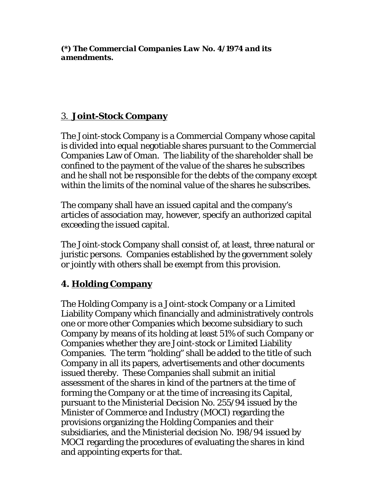*(\*) The Commercial Companies Law No. 4/1974 and its amendments.*

## 3. **Joint-Stock Company**

The Joint-stock Company is a Commercial Company whose capital is divided into equal negotiable shares pursuant to the Commercial Companies Law of Oman. The liability of the shareholder shall be confined to the payment of the value of the shares he subscribes and he shall not be responsible for the debts of the company except within the limits of the nominal value of the shares he subscribes.

The company shall have an issued capital and the company's articles of association may, however, specify an authorized capital exceeding the issued capital.

The Joint-stock Company shall consist of, at least, three natural or juristic persons. Companies established by the government solely or jointly with others shall be exempt from this provision.

# **4. Holding Company**

The Holding Company is a Joint-stock Company or a Limited Liability Company which financially and administratively controls one or more other Companies which become subsidiary to such Company by means of its holding at least 51% of such Company or Companies whether they are Joint-stock or Limited Liability Companies. The term "holding" shall be added to the title of such Company in all its papers, advertisements and other documents issued thereby. These Companies shall submit an initial assessment of the shares in kind of the partners at the time of forming the Company or at the time of increasing its Capital, pursuant to the Ministerial Decision No. 255/94 issued by the Minister of Commerce and Industry (MOCI) regarding the provisions organizing the Holding Companies and their subsidiaries, and the Ministerial decision No. 198/94 issued by MOCI regarding the procedures of evaluating the shares in kind and appointing experts for that.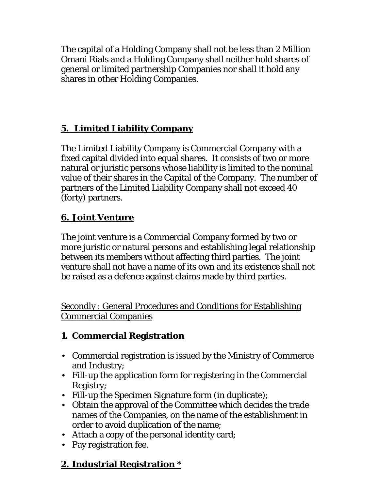The capital of a Holding Company shall not be less than 2 Million Omani Rials and a Holding Company shall neither hold shares of general or limited partnership Companies nor shall it hold any shares in other Holding Companies.

# **5. Limited Liability Company**

The Limited Liability Company is Commercial Company with a fixed capital divided into equal shares. It consists of two or more natural or juristic persons whose liability is limited to the nominal value of their shares in the Capital of the Company. The number of partners of the Limited Liability Company shall not exceed 40 (forty) partners.

# **6. Joint Venture**

The joint venture is a Commercial Company formed by two or more juristic or natural persons and establishing legal relationship between its members without affecting third parties. The joint venture shall not have a name of its own and its existence shall not be raised as a defence against claims made by third parties.

Secondly : General Procedures and Conditions for Establishing Commercial Companies

# **1. Commercial Registration**

- Commercial registration is issued by the Ministry of Commerce and Industry;
- Fill-up the application form for registering in the Commercial Registry;
- Fill-up the Specimen Signature form (in duplicate);
- Obtain the approval of the Committee which decides the trade names of the Companies, on the name of the establishment in order to avoid duplication of the name;
- Attach a copy of the personal identity card;
- Pay registration fee.

# **2. Industrial Registration \***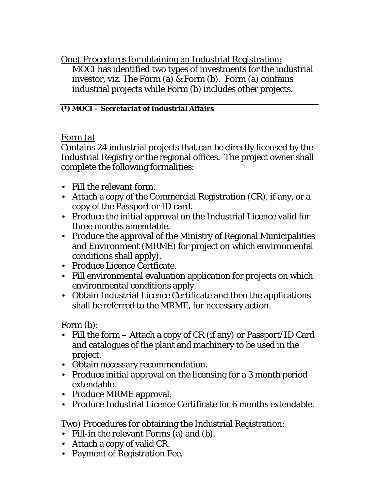One) Procedures for obtaining an Industrial Registration: MOCI has identified two types of investments for the industrial investor, viz. The Form (a) & Form (b). Form (a) contains industrial projects while Form (b) includes other projects.

#### *(\*) MOCI – Secretariat of Industrial Affairs*

Form (a)

Contains 24 industrial projects that can be directly licensed by the Industrial Registry or the regional offices. The project owner shall complete the following formalities:

- Fill the relevant form.
- Attach a copy of the Commercial Registration (CR), if any, or a copy of the Passport or ID card.
- Produce the initial approval on the Industrial Licence valid for three months amendable.
- Produce the approval of the Ministry of Regional Municipalities and Environment (MRME) for project on which environmental conditions shall apply).
- Produce Licence Certficate.
- Fill environmental evaluation application for projects on which environmental conditions apply.
- Obtain Industrial Licence Certificate and then the applications shall be referred to the MRME, for necessary action.

Form (b):

- Fill the form Attach a copy of CR (if any) or Passport/ID Card and catalogues of the plant and machinery to be used in the project.
- Obtain necessary recommendation.
- Produce initial approval on the licensing for a 3 month period extendable.
- Produce MRME approval.
- Produce Industrial Licence Certificate for 6 months extendable.

Two) Procedures for obtaining the Industrial Registration:

- Fill-in the relevant Forms (a) and (b).
- Attach a copy of valid CR.
- Payment of Registration Fee.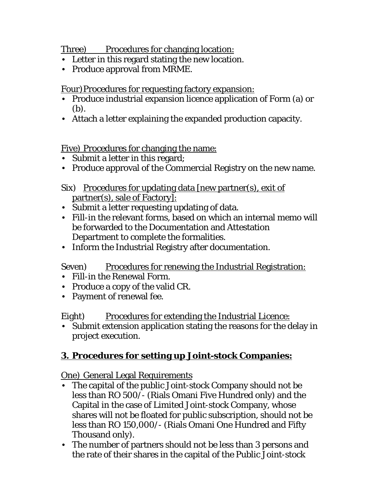Three) Procedures for changing location:

- Letter in this regard stating the new location.
- Produce approval from MRME.

Four)Procedures for requesting factory expansion:

- Produce industrial expansion licence application of Form (a) or (b).
- Attach a letter explaining the expanded production capacity.

Five) Procedures for changing the name:

- Submit a letter in this regard;
- Produce approval of the Commercial Registry on the new name.

## Six) Procedures for updating data [new partner(s), exit of partner(s), sale of Factory]:

- Submit a letter requesting updating of data.
- Fill-in the relevant forms, based on which an internal memo will be forwarded to the Documentation and Attestation Department to complete the formalities.
- Inform the Industrial Registry after documentation.

Seven) Procedures for renewing the Industrial Registration:

- Fill-in the Renewal Form.
- Produce a copy of the valid CR.
- Payment of renewal fee.

Eight) Procedures for extending the Industrial Licence:

• Submit extension application stating the reasons for the delay in project execution.

# **3. Procedures for setting up Joint-stock Companies:**

One) General Legal Requirements

- The capital of the public Joint-stock Company should not be less than RO 500/- (Rials Omani Five Hundred only) and the Capital in the case of Limited Joint-stock Company, whose shares will not be floated for public subscription, should not be less than RO 150,000/- (Rials Omani One Hundred and Fifty Thousand only).
- The number of partners should not be less than 3 persons and the rate of their shares in the capital of the Public Joint-stock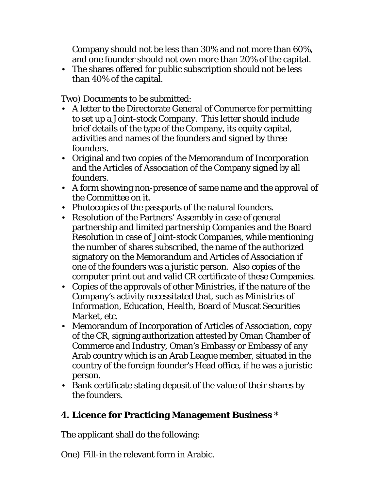Company should not be less than 30% and not more than 60%, and one founder should not own more than 20% of the capital.

• The shares offered for public subscription should not be less than 40% of the capital.

Two) Documents to be submitted:

- A letter to the Directorate General of Commerce for permitting to set up a Joint-stock Company. This letter should include brief details of the type of the Company, its equity capital, activities and names of the founders and signed by three founders.
- Original and two copies of the Memorandum of Incorporation and the Articles of Association of the Company signed by all founders.
- A form showing non-presence of same name and the approval of the Committee on it.
- Photocopies of the passports of the natural founders.
- Resolution of the Partners' Assembly in case of general partnership and limited partnership Companies and the Board Resolution in case of Joint-stock Companies, while mentioning the number of shares subscribed, the name of the authorized signatory on the Memorandum and Articles of Association if one of the founders was a juristic person. Also copies of the computer print out and valid CR certificate of these Companies.
- Copies of the approvals of other Ministries, if the nature of the Company's activity necessitated that, such as Ministries of Information, Education, Health, Board of Muscat Securities Market, etc.
- Memorandum of Incorporation of Articles of Association, copy of the CR, signing authorization attested by Oman Chamber of Commerce and Industry, Oman's Embassy or Embassy of any Arab country which is an Arab League member, situated in the country of the foreign founder's Head office, if he was a juristic person.
- Bank certificate stating deposit of the value of their shares by the founders.

# **4. Licence for Practicing Management Business \***

The applicant shall do the following:

One) Fill-in the relevant form in Arabic.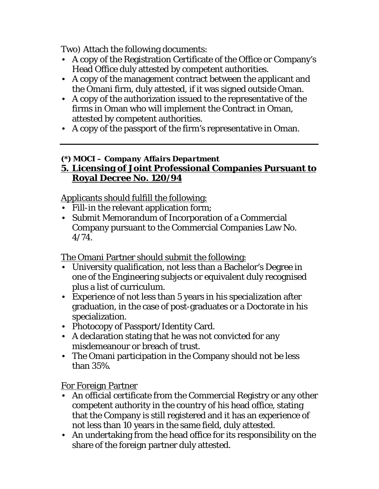Two) Attach the following documents:

- A copy of the Registration Certificate of the Office or Company's Head Office duly attested by competent authorities.
- A copy of the management contract between the applicant and the Omani firm, duly attested, if it was signed outside Oman.
- A copy of the authorization issued to the representative of the firms in Oman who will implement the Contract in Oman, attested by competent authorities.
- A copy of the passport of the firm's representative in Oman.

## *(\*) MOCI – Company Affairs Department*

## **5. Licensing of Joint Professional Companies Pursuant to Royal Decree No. 120/94**

Applicants should fulfill the following:

- Fill-in the relevant application form;
- Submit Memorandum of Incorporation of a Commercial Company pursuant to the Commercial Companies Law No. 4/74.

The Omani Partner should submit the following:

- University qualification, not less than a Bachelor's Degree in one of the Engineering subjects or equivalent duly recognised plus a list of curriculum.
- Experience of not less than 5 years in his specialization after graduation, in the case of post-graduates or a Doctorate in his specialization.
- Photocopy of Passport/Identity Card.
- A declaration stating that he was not convicted for any misdemeanour or breach of trust.
- The Omani participation in the Company should not be less than 35%.

For Foreign Partner

- An official certificate from the Commercial Registry or any other competent authority in the country of his head office, stating that the Company is still registered and it has an experience of not less than 10 years in the same field, duly attested.
- An undertaking from the head office for its responsibility on the share of the foreign partner duly attested.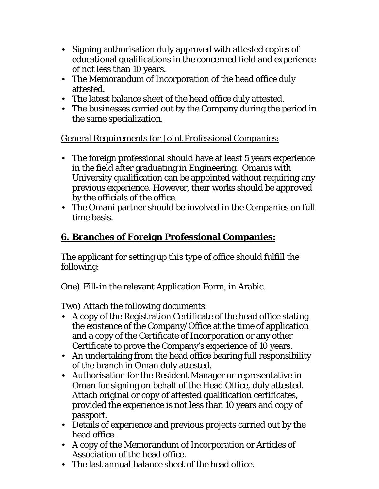- Signing authorisation duly approved with attested copies of educational qualifications in the concerned field and experience of not less than 10 years.
- The Memorandum of Incorporation of the head office duly attested.
- The latest balance sheet of the head office duly attested.
- The businesses carried out by the Company during the period in the same specialization.

General Requirements for Joint Professional Companies:

- The foreign professional should have at least 5 years experience in the field after graduating in Engineering. Omanis with University qualification can be appointed without requiring any previous experience. However, their works should be approved by the officials of the office.
- The Omani partner should be involved in the Companies on full time basis.

# **6. Branches of Foreign Professional Companies:**

The applicant for setting up this type of office should fulfill the following:

One) Fill-in the relevant Application Form, in Arabic.

Two) Attach the following documents:

- A copy of the Registration Certificate of the head office stating the existence of the Company/Office at the time of application and a copy of the Certificate of Incorporation or any other Certificate to prove the Company's experience of 10 years.
- An undertaking from the head office bearing full responsibility of the branch in Oman duly attested.
- Authorisation for the Resident Manager or representative in Oman for signing on behalf of the Head Office, duly attested. Attach original or copy of attested qualification certificates, provided the experience is not less than 10 years and copy of passport.
- Details of experience and previous projects carried out by the head office.
- A copy of the Memorandum of Incorporation or Articles of Association of the head office.
- The last annual balance sheet of the head office.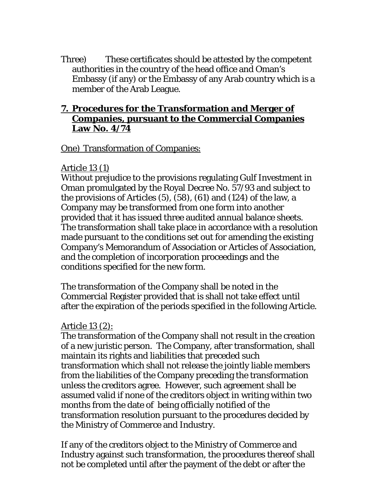Three) These certificates should be attested by the competent authorities in the country of the head office and Oman's Embassy (if any) or the Embassy of any Arab country which is a member of the Arab League.

### **7. Procedures for the Transformation and Merger of Companies, pursuant to the Commercial Companies Law No. 4/74**

One) Transformation of Companies:

#### Article 13 (1)

Without prejudice to the provisions regulating Gulf Investment in Oman promulgated by the Royal Decree No. 57/93 and subject to the provisions of Articles (5), (58), (61) and (124) of the law, a Company may be transformed from one form into another provided that it has issued three audited annual balance sheets. The transformation shall take place in accordance with a resolution made pursuant to the conditions set out for amending the existing Company's Memorandum of Association or Articles of Association, and the completion of incorporation proceedings and the conditions specified for the new form.

The transformation of the Company shall be noted in the Commercial Register provided that is shall not take effect until after the expiration of the periods specified in the following Article.

### Article 13 (2):

The transformation of the Company shall not result in the creation of a new juristic person. The Company, after transformation, shall maintain its rights and liabilities that preceded such transformation which shall not release the jointly liable members from the liabilities of the Company preceding the transformation unless the creditors agree. However, such agreement shall be assumed valid if none of the creditors object in writing within two months from the date of being officially notified of the transformation resolution pursuant to the procedures decided by the Ministry of Commerce and Industry.

If any of the creditors object to the Ministry of Commerce and Industry against such transformation, the procedures thereof shall not be completed until after the payment of the debt or after the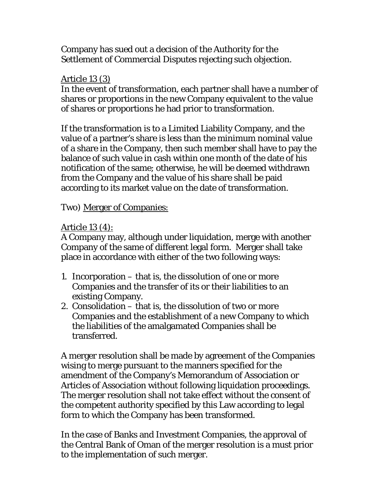Company has sued out a decision of the Authority for the Settlement of Commercial Disputes rejecting such objection.

## Article 13 (3)

In the event of transformation, each partner shall have a number of shares or proportions in the new Company equivalent to the value of shares or proportions he had prior to transformation.

If the transformation is to a Limited Liability Company, and the value of a partner's share is less than the minimum nominal value of a share in the Company, then such member shall have to pay the balance of such value in cash within one month of the date of his notification of the same; otherwise, he will be deemed withdrawn from the Company and the value of his share shall be paid according to its market value on the date of transformation.

Two) Merger of Companies:

## Article 13 (4):

A Company may, although under liquidation, merge with another Company of the same of different legal form. Merger shall take place in accordance with either of the two following ways:

- 1. Incorporation that is, the dissolution of one or more Companies and the transfer of its or their liabilities to an existing Company.
- 2. Consolidation that is, the dissolution of two or more Companies and the establishment of a new Company to which the liabilities of the amalgamated Companies shall be transferred.

A merger resolution shall be made by agreement of the Companies wising to merge pursuant to the manners specified for the amendment of the Company's Memorandum of Association or Articles of Association without following liquidation proceedings. The merger resolution shall not take effect without the consent of the competent authority specified by this Law according to legal form to which the Company has been transformed.

In the case of Banks and Investment Companies, the approval of the Central Bank of Oman of the merger resolution is a must prior to the implementation of such merger.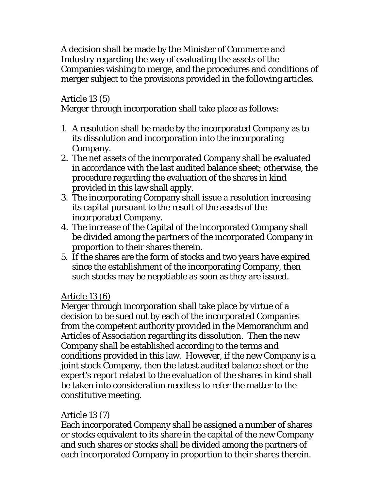A decision shall be made by the Minister of Commerce and Industry regarding the way of evaluating the assets of the Companies wishing to merge, and the procedures and conditions of merger subject to the provisions provided in the following articles.

## Article 13 (5)

Merger through incorporation shall take place as follows:

- 1. A resolution shall be made by the incorporated Company as to its dissolution and incorporation into the incorporating Company.
- 2. The net assets of the incorporated Company shall be evaluated in accordance with the last audited balance sheet; otherwise, the procedure regarding the evaluation of the shares in kind provided in this law shall apply.
- 3. The incorporating Company shall issue a resolution increasing its capital pursuant to the result of the assets of the incorporated Company.
- 4. The increase of the Capital of the incorporated Company shall be divided among the partners of the incorporated Company in proportion to their shares therein.
- 5. If the shares are the form of stocks and two years have expired since the establishment of the incorporating Company, then such stocks may be negotiable as soon as they are issued.

# Article 13 (6)

Merger through incorporation shall take place by virtue of a decision to be sued out by each of the incorporated Companies from the competent authority provided in the Memorandum and Articles of Association regarding its dissolution. Then the new Company shall be established according to the terms and conditions provided in this law. However, if the new Company is a joint stock Company, then the latest audited balance sheet or the expert's report related to the evaluation of the shares in kind shall be taken into consideration needless to refer the matter to the constitutive meeting.

# Article 13 (7)

Each incorporated Company shall be assigned a number of shares or stocks equivalent to its share in the capital of the new Company and such shares or stocks shall be divided among the partners of each incorporated Company in proportion to their shares therein.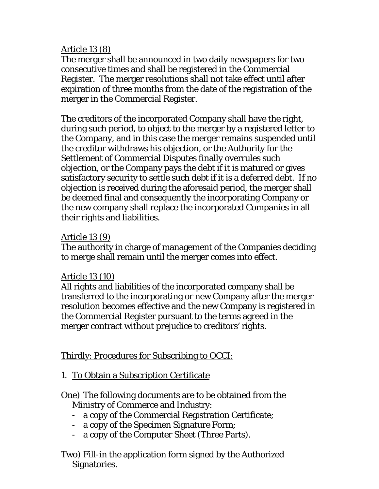### Article 13 (8)

The merger shall be announced in two daily newspapers for two consecutive times and shall be registered in the Commercial Register. The merger resolutions shall not take effect until after expiration of three months from the date of the registration of the merger in the Commercial Register.

The creditors of the incorporated Company shall have the right, during such period, to object to the merger by a registered letter to the Company, and in this case the merger remains suspended until the creditor withdraws his objection, or the Authority for the Settlement of Commercial Disputes finally overrules such objection, or the Company pays the debt if it is matured or gives satisfactory security to settle such debt if it is a deferred debt. If no objection is received during the aforesaid period, the merger shall be deemed final and consequently the incorporating Company or the new company shall replace the incorporated Companies in all their rights and liabilities.

### Article 13 (9)

The authority in charge of management of the Companies deciding to merge shall remain until the merger comes into effect.

## Article 13 (10)

All rights and liabilities of the incorporated company shall be transferred to the incorporating or new Company after the merger resolution becomes effective and the new Company is registered in the Commercial Register pursuant to the terms agreed in the merger contract without prejudice to creditors' rights.

# Thirdly: Procedures for Subscribing to OCCI:

1. To Obtain a Subscription Certificate

## One) The following documents are to be obtained from the Ministry of Commerce and Industry:

- a copy of the Commercial Registration Certificate;
- a copy of the Specimen Signature Form;
- a copy of the Computer Sheet (Three Parts).
- Two) Fill-in the application form signed by the Authorized Signatories.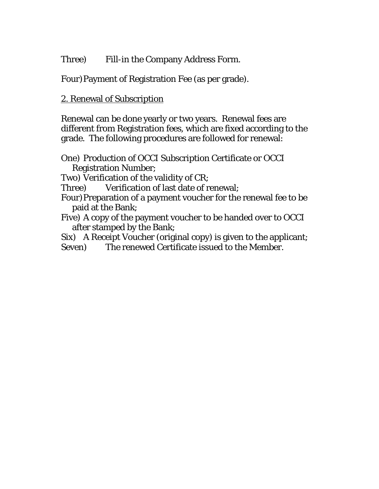Three) Fill-in the Company Address Form.

Four)Payment of Registration Fee (as per grade).

## 2. Renewal of Subscription

Renewal can be done yearly or two years. Renewal fees are different from Registration fees, which are fixed according to the grade. The following procedures are followed for renewal:

One) Production of OCCI Subscription Certificate or OCCI Registration Number;

Two) Verification of the validity of CR;

Three) Verification of last date of renewal;

Four) Preparation of a payment voucher for the renewal fee to be paid at the Bank;

Five) A copy of the payment voucher to be handed over to OCCI after stamped by the Bank;

Six) A Receipt Voucher (original copy) is given to the applicant;

Seven) The renewed Certificate issued to the Member.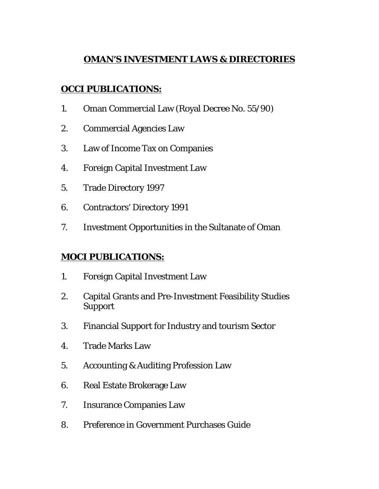## **OMAN'S INVESTMENT LAWS & DIRECTORIES**

## **OCCI PUBLICATIONS:**

- 1. Oman Commercial Law (Royal Decree No. 55/90)
- 2. Commercial Agencies Law
- 3. Law of Income Tax on Companies
- 4. Foreign Capital Investment Law
- 5. Trade Directory 1997
- 6. Contractors' Directory 1991
- 7. Investment Opportunities in the Sultanate of Oman

## **MOCI PUBLICATIONS:**

- 1. Foreign Capital Investment Law
- 2. Capital Grants and Pre-Investment Feasibility Studies Support
- 3. Financial Support for Industry and tourism Sector
- 4. Trade Marks Law
- 5. Accounting & Auditing Profession Law
- 6. Real Estate Brokerage Law
- 7. Insurance Companies Law
- 8. Preference in Government Purchases Guide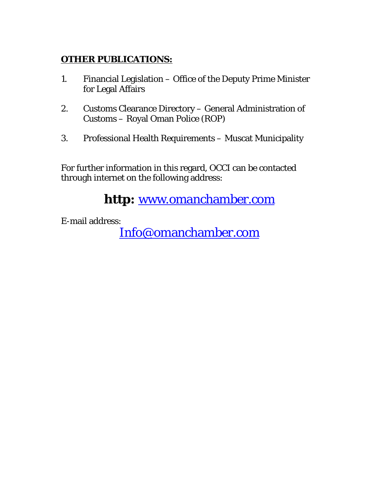## **OTHER PUBLICATIONS:**

- 1. Financial Legislation Office of the Deputy Prime Minister for Legal Affairs
- 2. Customs Clearance Directory General Administration of Customs – Royal Oman Police (ROP)
- 3. Professional Health Requirements Muscat Municipality

For further information in this regard, OCCI can be contacted through internet on the following address:

**http:** www.omanchamber.com

E-mail address:

Info@omanchamber.com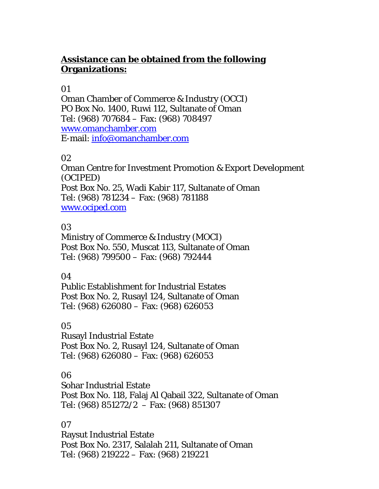## **Assistance can be obtained from the following Organizations:**

### 01

Oman Chamber of Commerce & Industry (OCCI) PO Box No. 1400, Ruwi 112, Sultanate of Oman Tel: (968) 707684 – Fax: (968) 708497 www.omanchamber.com E-mail: info@omanchamber.com

#### 02

Oman Centre for Investment Promotion & Export Development (OCIPED) Post Box No. 25, Wadi Kabir 117, Sultanate of Oman Tel: (968) 781234 – Fax: (968) 781188 www.ociped.com

#### 03

Ministry of Commerce & Industry (MOCI) Post Box No. 550, Muscat 113, Sultanate of Oman Tel: (968) 799500 – Fax: (968) 792444

#### 04

Public Establishment for Industrial Estates Post Box No. 2, Rusayl 124, Sultanate of Oman Tel: (968) 626080 – Fax: (968) 626053

### 05

Rusayl Industrial Estate Post Box No. 2, Rusayl 124, Sultanate of Oman Tel: (968) 626080 – Fax: (968) 626053

#### 06

Sohar Industrial Estate Post Box No. 118, Falaj Al Qabail 322, Sultanate of Oman Tel: (968) 851272/2 – Fax: (968) 851307

### 07

Raysut Industrial Estate Post Box No. 2317, Salalah 211, Sultanate of Oman Tel: (968) 219222 – Fax: (968) 219221